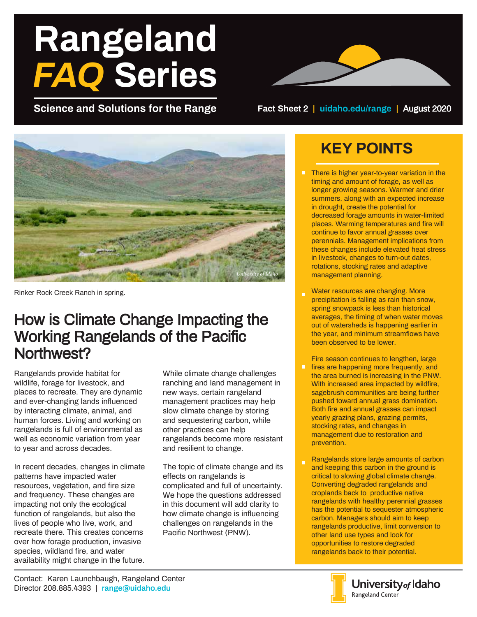# **Rangeland** *FAQ* **Series**

**Science and Solutions for the Range Fact Sheet** 2 **| uidaho.edu/range |** August 2020



Rinker Rock Creek Ranch in spring.

## How is Climate Change Impacting the Working Rangelands of the Pacific Northwest?

Rangelands provide habitat for wildlife, forage for livestock, and places to recreate. They are dynamic and ever-changing lands influenced by interacting climate, animal, and human forces. Living and working on rangelands is full of environmental as well as economic variation from year to year and across decades.

In recent decades, changes in climate patterns have impacted water resources, vegetation, and fire size and frequency. These changes are impacting not only the ecological function of rangelands, but also the lives of people who live, work, and recreate there. This creates concerns over how forage production, invasive species, wildland fire, and water availability might change in the future.

While climate change challenges ranching and land management in new ways, certain rangeland management practices may help slow climate change by storing and sequestering carbon, while other practices can help rangelands become more resistant and resilient to change.

The topic of climate change and its effects on rangelands is complicated and full of uncertainty. We hope the questions addressed in this document will add clarity to how climate change is influencing challenges on rangelands in the Pacific Northwest (PNW).

# **KEY POINTS**

- **There is higher year-to-year variation in the** timing and amount of forage, as well as longer growing seasons. Warmer and drier summers, along with an expected increase in drought, create the potential for decreased forage amounts in water-limited places. Warming temperatures and fire will continue to favor annual grasses over perennials. Management implications from these changes include elevated heat stress in livestock, changes to turn-out dates, rotations, stocking rates and adaptive management planning.
- Water resources are changing. More precipitation is falling as rain than snow, spring snowpack is less than historical averages, the timing of when water moves out of watersheds is happening earlier in the year, and minimum streamflows have been observed to be lower.
- Fire season continues to lengthen, large  $\blacksquare$ fires are happening more frequently, and the area burned is increasing in the PNW. With increased area impacted by wildfire, sagebrush communities are being further pushed toward annual grass domination. Both fire and annual grasses can impact yearly grazing plans, grazing permits, stocking rates, and changes in management due to restoration and prevention.
- Rangelands store large amounts of carbon and keeping this carbon in the ground is critical to slowing global climate change. Converting degraded rangelands and croplands back to productive native rangelands with healthy perennial grasses has the potential to sequester atmospheric carbon. Managers should aim to keep rangelands productive, limit conversion to other land use types and look for opportunities to restore degraded rangelands back to their potential.

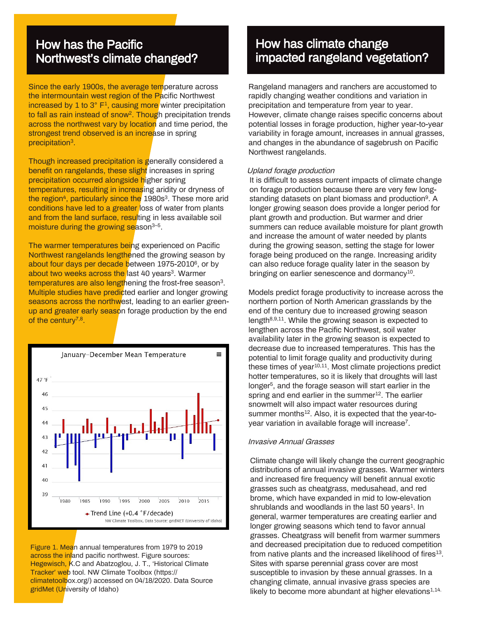#### How has the Pacific Northwest's climate changed?

Since the early 1900s, the average temperature across the intermountain west region of the Pacific Northwest increased by 1 to  $3^\circ$   $F^1$ , causing more winter precipitation to fall as rain instead of snow<sup>2</sup>. Though precipitation trends across the northwest vary by location and time period, the strongest trend observed is an increase in spring precipitation<sup>3</sup>.

Though increased precipitation is generally considered a benefit on rangelands, these slight increases in spring precipitation occurred alongside higher spring temperatures, resulting in increasing aridity or dryness of the region<sup>4</sup>, particularly since the 1980s<sup>3</sup>. These more arid conditions have led to a greater loss of water from plants and from the land surface, resulting in less available soil moisture during the growing season<sup>3-5</sup>.

The warmer temperatures being experienced on Pacific Northwest rangelands lengthened the growing season by about four days per decade between 1975-2010<sup>6</sup>, or by about two weeks across the last 40 years<sup>3</sup>. Warmer temperatures are also lengthening the frost-free season<sup>3</sup>. Multiple studies have predicted earlier and longer growing seasons across the northwest, leading to an earlier greenup and greater early season forage production by the end of the century<sup>7,8</sup>.



Figure 1. Mean annual temperatures from 1979 to 2019 across the inland pacific northwest. Figure sources: Hegewisch, K.C and Abatzoglou, J. T., 'Historical Climate Tracker' web tool. NW Climate Toolbox (https:// climatetoolbox.org/) accessed on 04/18/2020. Data Source gridMet (University of Idaho)

## How has climate change impacted rangeland vegetation?

Rangeland managers and ranchers are accustomed to rapidly changing weather conditions and variation in precipitation and temperature from year to year. However, climate change raises specific concerns about potential losses in forage production, higher year-to-year variability in forage amount, increases in annual grasses, and changes in the abundance of sagebrush on Pacific Northwest rangelands.

#### Upland forage production

It is difficult to assess current impacts of climate change on forage production because there are very few longstanding datasets on plant biomass and production<sup>9</sup>. A longer growing season does provide a longer period for plant growth and production. But warmer and drier summers can reduce available moisture for plant growth and increase the amount of water needed by plants during the growing season, setting the stage for lower forage being produced on the range. Increasing aridity can also reduce forage quality later in the season by bringing on earlier senescence and dormancy $^{10}$ .

Models predict forage productivity to increase across the northern portion of North American grasslands by the end of the century due to increased growing season length $8,9,11$ . While the growing season is expected to lengthen across the Pacific Northwest, soil water availability later in the growing season is expected to decrease due to increased temperatures. This has the potential to limit forage quality and productivity during these times of year $10,11$ . Most climate projections predict hotter temperatures, so it is likely that droughts will last longer<sup>5</sup>, and the forage season will start earlier in the spring and end earlier in the summer $12$ . The earlier snowmelt will also impact water resources during summer months<sup>12</sup>. Also, it is expected that the year-toyear variation in available forage will increase<sup>7</sup>.

#### Invasive Annual Grasses

Climate change will likely change the current geographic distributions of annual invasive grasses. Warmer winters and increased fire frequency will benefit annual exotic grasses such as cheatgrass, medusahead, and red brome, which have expanded in mid to low-elevation shrublands and woodlands in the last 50 years $<sup>1</sup>$ . In</sup> general, warmer temperatures are creating earlier and longer growing seasons which tend to favor annual grasses. Cheatgrass will benefit from warmer summers and decreased precipitation due to reduced competition from native plants and the increased likelihood of fires $^{13}$ . Sites with sparse perennial grass cover are most susceptible to invasion by these annual grasses. In a changing climate, annual invasive grass species are likely to become more abundant at higher elevations $1,14$ .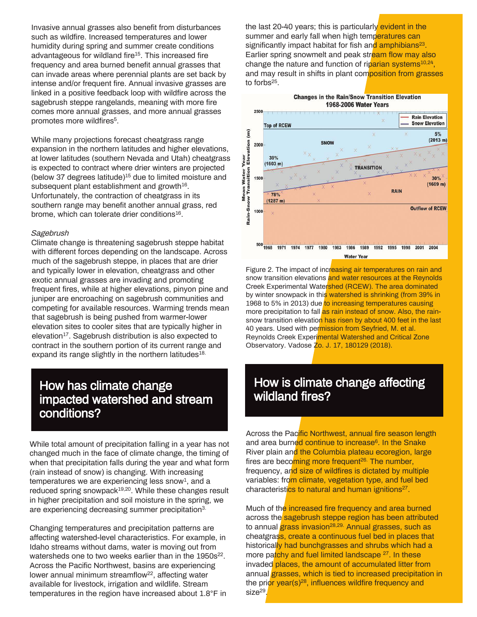Invasive annual grasses also benefit from disturbances such as wildfire. Increased temperatures and lower humidity during spring and summer create conditions advantageous for wildland fire<sup>15</sup>. This increased fire frequency and area burned benefit annual grasses that can invade areas where perennial plants are set back by intense and/or frequent fire. Annual invasive grasses are linked in a positive feedback loop with wildfire across the sagebrush steppe rangelands, meaning with more fire comes more annual grasses, and more annual grasses promotes more wildfires<sup>5</sup>.

While many projections forecast cheatgrass range expansion in the northern latitudes and higher elevations, at lower latitudes (southern Nevada and Utah) cheatgrass is expected to contract where drier winters are projected (below 37 degrees latitude) $15$  due to limited moisture and subsequent plant establishment and growth<sup>16</sup>. Unfortunately, the contraction of cheatgrass in its southern range may benefit another annual grass, red brome, which can tolerate drier conditions<sup>16</sup>.

#### Sagebrush

Climate change is threatening sagebrush steppe habitat with different forces depending on the landscape. Across much of the sagebrush steppe, in places that are drier and typically lower in elevation, cheatgrass and other exotic annual grasses are invading and promoting frequent fires, while at higher elevations, pinyon pine and juniper are encroaching on sagebrush communities and competing for available resources. Warming trends mean that sagebrush is being pushed from warmer-lower elevation sites to cooler sites that are typically higher in elevation<sup>17</sup>. Sagebrush distribution is also expected to contract in the southern portion of its current range and expand its range slightly in the northern latitudes<sup>18.</sup>

#### How has climate change impacted watershed and stream conditions?

While total amount of precipitation falling in a year has not changed much in the face of climate change, the timing of when that precipitation falls during the year and what form (rain instead of snow) is changing. With increasing  $temperatures$  we are experiencing less snow $<sup>1</sup>$ , and a</sup> reduced spring snowpack<sup>19,20</sup>. While these changes result in higher precipitation and soil moisture in the spring, we are experiencing decreasing summer precipitation3.

Changing temperatures and precipitation patterns are affecting watershed-level characteristics. For example, in Idaho streams without dams, water is moving out from watersheds one to two weeks earlier than in the 1950s<sup>22</sup>. Across the Pacific Northwest, basins are experiencing lower annual minimum streamflow<sup>22</sup>, affecting water available for livestock, irrigation and wildlife. Stream temperatures in the region have increased about 1.8°F in

the last 20-40 years; this is particularly evident in the summer and early fall when high temperatures can significantly impact habitat for fish and amphibians<sup>23</sup>. Earlier spring snowmelt and peak stream flow may also change the nature and function of riparian systems<sup>10,24</sup>, and may result in shifts in plant composition from grasses to forbs<sup>25</sup>.



Figure 2. The impact of increasing air temperatures on rain and snow transition elevations and water resources at the Reynolds Creek Experimental Watershed (RCEW). The area dominated by winter snowpack in this watershed is shrinking (from 39% in 1968 to 5% in 2013) due to increasing temperatures causing more precipitation to fall as rain instead of snow. Also, the rainsnow transition elevation has risen by about 400 feet in the last 40 years. Used with permission from Seyfried, M. et al. Reynolds Creek Experimental Watershed and Critical Zone Observatory. Vadose Zo. J. 17, 180129 (2018).

## How is climate change affecting wildland fires?

Across the Pacific Northwest, annual fire season length and area burned continue to increase<sup>6</sup>. In the Snake River plain and the Columbia plateau ecoregion, large fires are becoming more frequent<sup>26.</sup> The number, frequency, and size of wildfires is dictated by multiple variables: from climate, vegetation type, and fuel bed characteristics to natural and human ignitions<sup>27</sup>.

Much of the increased fire frequency and area burned across the sagebrush steppe region has been attributed to annual grass invasion<sup>28,29.</sup> Annual grasses, such as cheatgrass, create a continuous fuel bed in places that historically had bunchgrasses and shrubs which had a more patchy and fuel limited landscape <sup>27</sup>. In these invaded places, the amount of accumulated litter from annual grasses, which is tied to increased precipitation in the prior year(s) $28$ , influences wildfire frequency and size<sup>29</sup>.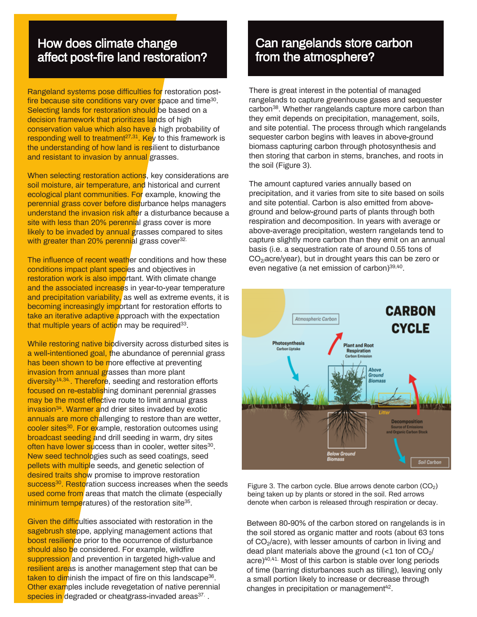## How does climate change affect post-fire land restoration?

Rangeland systems pose difficulties for restoration postfire because site conditions vary over space and time<sup>30</sup>. Selecting lands for restoration should be based on a decision framework that prioritizes lands of high conservation value which also have a high probability of responding well to treatment<sup>27,31</sup>. Key to this framework is the understanding of how land is resilient to disturbance and resistant to invasion by annual grasses.

When selecting restoration actions, key considerations are soil moisture, air temperature, and historical and current ecological plant communities. For example, knowing the perennial grass cover before disturbance helps managers understand the invasion risk after a disturbance because a site with less than 20% perennial grass cover is more likely to be invaded by annual grasses compared to sites with greater than 20% perennial grass cover<sup>32.</sup>

The influence of recent weather conditions and how these conditions impact plant species and objectives in restoration work is also important. With climate change and the associated increases in year-to-year temperature and precipitation variability, as well as extreme events, it is becoming increasingly important for restoration efforts to take an iterative adaptive approach with the expectation that multiple years of action may be required<sup>33</sup>.

While restoring native biodiversity across disturbed sites is a well-intentioned goal, the abundance of perennial grass has been shown to be more effective at preventing invasion from annual grasses than more plant diversity<sup>14,34</sup>. Therefore, seeding and restoration efforts focused on re-establishing dominant perennial grasses may be the most effective route to limit annual grass invasion<sup>34</sup>. Warmer and drier sites invaded by exotic annuals are more challenging to restore than are wetter, cooler sites<sup>30</sup>. For example, restoration outcomes using broadcast seeding and drill seeding in warm, dry sites often have lower success than in cooler, wetter sites<sup>30</sup>. New seed technologies such as seed coatings, seed pellets with multiple seeds, and genetic selection of desired traits show promise to improve restoration success<sup>30</sup>. Restoration success increases when the seeds used come from areas that match the climate (especially minimum temperatures) of the restoration site<sup>35</sup>.

Given the difficulties associated with restoration in the sagebrush steppe, applying management actions that boost resilience prior to the occurrence of disturbance should also be considered. For example, wildfire suppression and prevention in targeted high-value and resilient areas is another management step that can be taken to diminish the impact of fire on this landscape<sup>36</sup>. Other examples include revegetation of native perennial species in degraded or cheatgrass-invaded areas<sup>37.</sup> .

## Can rangelands store carbon from the atmosphere?

There is great interest in the potential of managed rangelands to capture greenhouse gases and sequester carbon<sup>38</sup>. Whether rangelands capture more carbon than they emit depends on precipitation, management, soils, and site potential. The process through which rangelands sequester carbon begins with leaves in above-ground biomass capturing carbon through photosynthesis and then storing that carbon in stems, branches, and roots in the soil (Figure 3).

The amount captured varies annually based on precipitation, and it varies from site to site based on soils and site potential. Carbon is also emitted from aboveground and below-ground parts of plants through both respiration and decomposition. In years with average or above-average precipitation, western rangelands tend to capture slightly more carbon than they emit on an annual basis (i.e. a sequestration rate of around 0.55 tons of CO2/acre/year), but in drought years this can be zero or even negative (a net emission of carbon)<sup>39,40</sup>.



Figure 3. The carbon cycle. Blue arrows denote carbon  $(CO<sub>2</sub>)$ being taken up by plants or stored in the soil. Red arrows denote when carbon is released through respiration or decay.

Between 80-90% of the carbon stored on rangelands is in the soil stored as organic matter and roots (about 63 tons of CO<sub>2</sub>/acre), with lesser amounts of carbon in living and dead plant materials above the ground  $\langle$ <1 ton of CO<sub>2</sub>/ acre)40,41. Most of this carbon is stable over long periods of time (barring disturbances such as tilling), leaving only a small portion likely to increase or decrease through changes in precipitation or management<sup>42</sup>.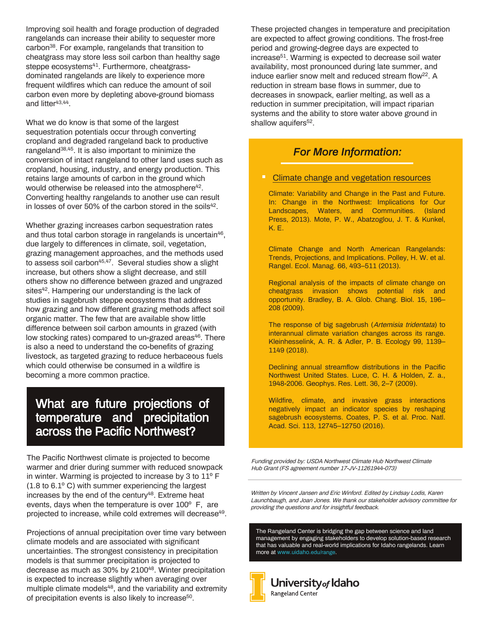Improving soil health and forage production of degraded rangelands can increase their ability to sequester more carbon<sup>38</sup>. For example, rangelands that transition to cheatgrass may store less soil carbon than healthy sage steppe ecosystems<sup>41</sup>. Furthermore, cheatgrassdominated rangelands are likely to experience more frequent wildfires which can reduce the amount of soil carbon even more by depleting above-ground biomass and litter<sup>43,44</sup>.

What we do know is that some of the largest sequestration potentials occur through converting cropland and degraded rangeland back to productive rangeland<sup>38,45</sup>. It is also important to minimize the conversion of intact rangeland to other land uses such as cropland, housing, industry, and energy production. This retains large amounts of carbon in the ground which would otherwise be released into the atmosphere<sup>42</sup>. Converting healthy rangelands to another use can result in losses of over 50% of the carbon stored in the soils $42$ .

Whether grazing increases carbon sequestration rates and thus total carbon storage in rangelands is uncertain<sup>46</sup>, due largely to differences in climate, soil, vegetation, grazing management approaches, and the methods used to assess soil carbon<sup>45,47</sup>. Several studies show a slight increase, but others show a slight decrease, and still others show no difference between grazed and ungrazed sites<sup>42</sup>. Hampering our understanding is the lack of studies in sagebrush steppe ecosystems that address how grazing and how different grazing methods affect soil organic matter. The few that are available show little difference between soil carbon amounts in grazed (with low stocking rates) compared to un-grazed areas<sup>46</sup>. There is also a need to understand the co-benefits of grazing livestock, as targeted grazing to reduce herbaceous fuels which could otherwise be consumed in a wildfire is becoming a more common practice.

## What are future projections of temperature and precipitation across the Pacific Northwest?

The Pacific Northwest climate is projected to become warmer and drier during summer with reduced snowpack in winter. Warming is projected to increase by 3 to 11º F (1.8 to 6.1º C) with summer experiencing the largest increases by the end of the century $48$ . Extreme heat events, days when the temperature is over 100º F, are projected to increase, while cold extremes will decrease<sup>49</sup>.

Projections of annual precipitation over time vary between climate models and are associated with significant uncertainties. The strongest consistency in precipitation models is that summer precipitation is projected to decrease as much as 30% by 2100<sup>48</sup>. Winter precipitation is expected to increase slightly when averaging over multiple climate models<sup>48</sup>, and the variability and extremity of precipitation events is also likely to increase<sup>50</sup>.

These projected changes in temperature and precipitation are expected to affect growing conditions. The frost-free period and growing-degree days are expected to increase<sup>51</sup>. Warming is expected to decrease soil water availability, most pronounced during late summer, and induce earlier snow melt and reduced stream flow<sup>22</sup>. A reduction in stream base flows in summer, due to decreases in snowpack, earlier melting, as well as a reduction in summer precipitation, will impact riparian systems and the ability to store water above ground in shallow aquifers<sup>52</sup>.

#### *For More Information:*

#### Climate change and vegetation resources

Climate: Variability and Change in the Past and Future. In: Change in the Northwest: Implications for Our Landscapes, Waters, and Communities. (Island Press, 2013). Mote, P. W., Abatzoglou, J. T. & Kunkel, K. E.

Climate Change and North American Rangelands: Trends, Projections, and Implications. Polley, H. W. et al. Rangel. Ecol. Manag. 66, 493–511 (2013).

Regional analysis of the impacts of climate change on cheatgrass invasion shows potential risk and opportunity. Bradley, B. A. Glob. Chang. Biol. 15, 196– 208 (2009).

The response of big sagebrush (Artemisia tridentata) to interannual climate variation changes across its range. Kleinhesselink, A. R. & Adler, P. B. Ecology 99, 1139– 1149 (2018).

Declining annual streamflow distributions in the Pacific Northwest United States. Luce, C. H. & Holden, Z. a., 1948-2006. Geophys. Res. Lett. 36, 2–7 (2009).

Wildfire, climate, and invasive grass interactions negatively impact an indicator species by reshaping sagebrush ecosystems. Coates, P. S. et al. Proc. Natl. Acad. Sci. 113, 12745–12750 (2016).

Funding provided by: USDA Northwest Climate Hub Northwest Climate Hub Grant (FS agreement number 17-JV-11261944-073)

Written by Vincent Jansen and Eric Winford. Edited by Lindsay Lodis, Karen Launchbaugh, and Joan Jones. We thank our stakeholder advisory committee for providing the questions and for insightful feedback.

The Rangeland Center is bridging the gap between science and land management by engaging stakeholders to develop solution-based research that has valuable and real-world implications for Idaho rangelands. Learn more at www.uidaho.edu/range.

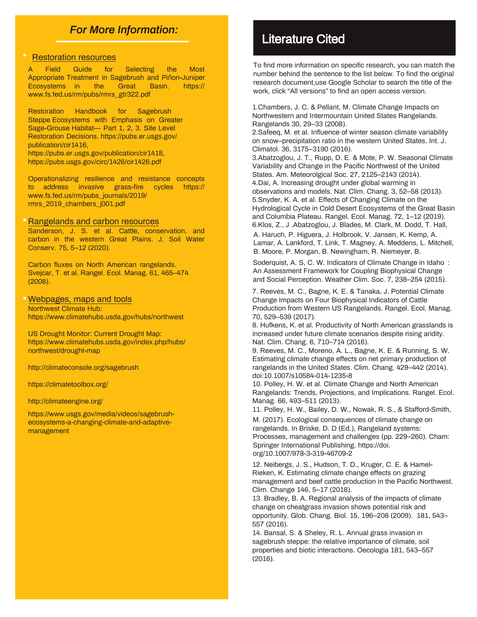#### *For More Information:*

#### Restoration resources

A Field Guide for Selecting the Most Appropriate Treatment in Sagebrush and Piñon-Juniper Ecosystems in the Great Basin. https:// www.fs.fed.us/rm/pubs/rmrs\_gtr322.pdf

Restoration Handbook for Sagebrush Steppe Ecosystems with Emphasis on Greater Sage-Grouse Habitat— Part 1, 2, 3. Site Level Restoration Decisions. https://pubs.er.usgs.gov/ publication/cir1416, https://pubs.er.usgs.gov/publication/cir1418, https://pubs.usgs.gov/circ/1426/cir1426.pdf

Operationalizing resilience and resistance concepts to address invasive grass-fire cycles https:// www.fs.fed.us/rm/pubs\_journals/2019/ rmrs\_2019\_chambers\_j001.pdf

Rangelands and carbon resources

Sanderson, J. S. et al. Cattle, conservation, and carbon in the western Great Plains. J. Soil Water Conserv. 75, 5–12 (2020).

Carbon fluxes on North American rangelands. Svejcar, T. et al. Rangel. Ecol. Manag. 61, 465–474 (2008).

#### Webpages, maps and tools Northwest Climate Hub:

https://www.climatehubs.usda.gov/hubs/northwest

US Drought Monitor: Current Drought Map: https://www.climatehubs.usda.gov/index.php/hubs/ northwest/drought-map

http://climateconsole.org/sagebrush

https://climatetoolbox.org/

http://climateengine.org/

https://www.usgs.gov/media/videos/sagebrushecosystems-a-changing-climate-and-adaptivemanagement

## Literature Cited

To find more information on specific research, you can match the number behind the sentence to the list below. To find the original research document,use Google Scholar to search the title of the work, click "All versions" to find an open access version.

1.Chambers, J. C. & Pellant, M. Climate Change Impacts on Northwestern and Intermountain United States Rangelands. Rangelands 30, 29–33 (2008).

2.Safeeq, M. et al. Influence of winter season climate variability on snow–precipitation ratio in the western United States. Int. J. Climatol. 36, 3175–3190 (2016).

3.Abatzoglou, J. T., Rupp, D. E. & Mote, P. W. Seasonal Climate Variability and Change in the Pacific Northwest of the United States. Am. Meteorolgical Soc. 27, 2125–2143 (2014). 4.Dai, A. Increasing drought under global warming in observations and models. Nat. Clim. Chang. 3, 52–58 (2013). 5.Snyder, K. A. et al. Effects of Changing Climate on the Hydrological Cycle in Cold Desert Ecosystems of the Great Basin and Columbia Plateau. Rangel. Ecol. Manag. 72, 1–12 (2019). 6.Klos, Z., J .Abatzoglou, J. Blades, M. Clark, M. Dodd, T. Hall,

A. Haruch, P. Higuera, J. Holbrook, V. Jansen, K. Kemp, A. Lamar, A. Lankford, T. Link, T. Magney, A. Meddens, L. Mitchell, B. Moore, P. Morgan, B. Newingham, R. Niemeyer, B.

Soderquist, A. S, C. W. Indicators of Climate Change in Idaho : An Assessment Framework for Coupling Biophysical Change and Social Perception. Weather Clim. Soc. 7, 238–254 (2015).

7. Reeves, M. C., Bagne, K. E. & Tanaka, J. Potential Climate Change Impacts on Four Biophysical Indicators of Cattle Production from Western US Rangelands. Rangel. Ecol. Manag. 70, 529–539 (2017).

8. Hufkens, K. et al. Productivity of North American grasslands is increased under future climate scenarios despite rising aridity. Nat. Clim. Chang. 6, 710–714 (2016).

9. Reeves, M. C., Moreno, A. L., Bagne, K. E. & Running, S. W. Estimating climate change effects on net primary production of rangelands in the United States. Clim. Chang. 429–442 (2014). doi:10.1007/s10584-014-1235-8

10. Polley, H. W. et al. Climate Change and North American Rangelands: Trends, Projections, and Implications. Rangel. Ecol. Manag. 66, 493–511 (2013).

11. Polley, H. W., Bailey, D. W., Nowak, R. S., & Stafford-Smith,

M. (2017). Ecological consequences of climate change on rangelands. In Briske, D. D (Ed.), Rangeland systems: Processes, management and challenges (pp. 229–260). Cham: Springer International Publishing. https://doi. org/10.1007/978-3-319-46709-2

12. Neibergs, J. S., Hudson, T. D., Kruger, C. E. & Hamel-Rieken, K. Estimating climate change effects on grazing management and beef cattle production in the Pacific Northwest. Clim. Change 146, 5–17 (2018).

13. Bradley, B. A. Regional analysis of the impacts of climate change on cheatgrass invasion shows potential risk and opportunity. Glob. Chang. Biol. 15, 196–208 (2009). 181, 543– 557 (2016).

14. Bansal, S. & Sheley, R. L. Annual grass invasion in sagebrush steppe: the relative importance of climate, soil properties and biotic interactions. Oecologia 181, 543–557 (2016).